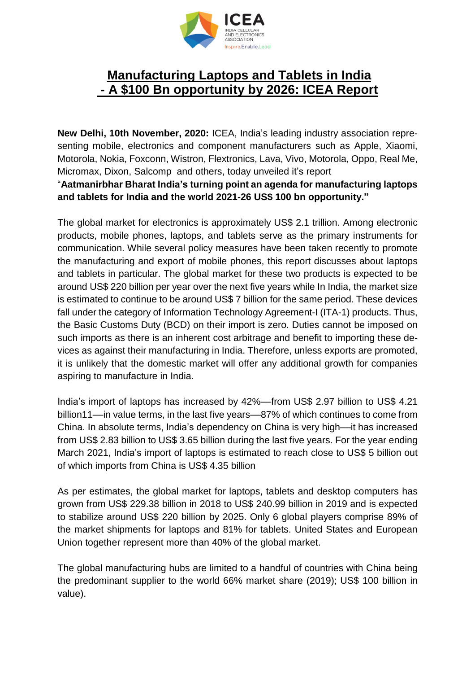

## **Manufacturing Laptops and Tablets in India - A \$100 Bn opportunity by 2026: ICEA Report**

**New Delhi, 10th November, 2020:** ICEA, India's leading industry association representing mobile, electronics and component manufacturers such as Apple, Xiaomi, Motorola, Nokia, Foxconn, Wistron, Flextronics, Lava, Vivo, Motorola, Oppo, Real Me, Micromax, Dixon, Salcomp and others, today unveiled it's report "**Aatmanirbhar Bharat India's turning point an agenda for manufacturing laptops and tablets for India and the world 2021-26 US\$ 100 bn opportunity."**

The global market for electronics is approximately US\$ 2.1 trillion. Among electronic products, mobile phones, laptops, and tablets serve as the primary instruments for communication. While several policy measures have been taken recently to promote the manufacturing and export of mobile phones, this report discusses about laptops and tablets in particular. The global market for these two products is expected to be around US\$ 220 billion per year over the next five years while In India, the market size is estimated to continue to be around US\$ 7 billion for the same period. These devices fall under the category of Information Technology Agreement-I (ITA-1) products. Thus, the Basic Customs Duty (BCD) on their import is zero. Duties cannot be imposed on such imports as there is an inherent cost arbitrage and benefit to importing these devices as against their manufacturing in India. Therefore, unless exports are promoted, it is unlikely that the domestic market will offer any additional growth for companies aspiring to manufacture in India.

India's import of laptops has increased by 42%––from US\$ 2.97 billion to US\$ 4.21 billion11—in value terms, in the last five years—87% of which continues to come from China. In absolute terms, India's dependency on China is very high––it has increased from US\$ 2.83 billion to US\$ 3.65 billion during the last five years. For the year ending March 2021, India's import of laptops is estimated to reach close to US\$ 5 billion out of which imports from China is US\$ 4.35 billion

As per estimates, the global market for laptops, tablets and desktop computers has grown from US\$ 229.38 billion in 2018 to US\$ 240.99 billion in 2019 and is expected to stabilize around US\$ 220 billion by 2025. Only 6 global players comprise 89% of the market shipments for laptops and 81% for tablets. United States and European Union together represent more than 40% of the global market.

The global manufacturing hubs are limited to a handful of countries with China being the predominant supplier to the world 66% market share (2019); US\$ 100 billion in value).